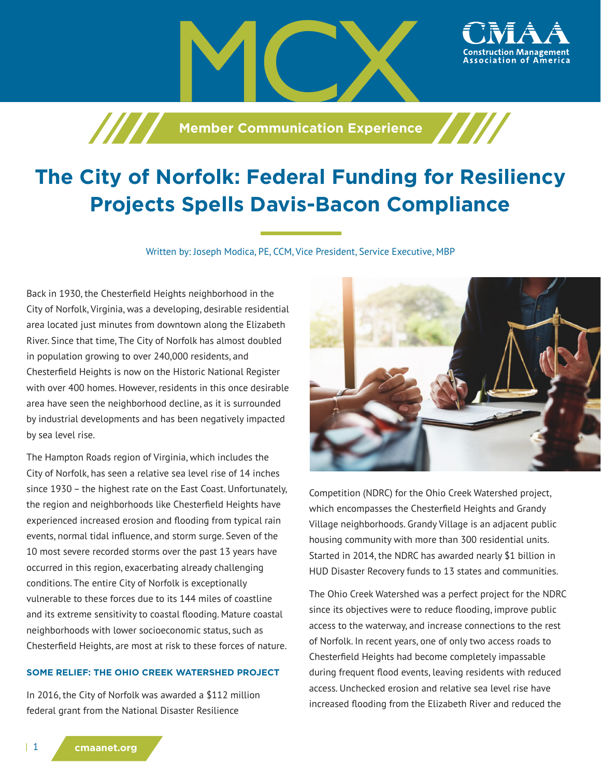**Member Communication Experience** 

# **The City of Norfolk: Federal Funding for Resiliency Projects Spells Davis-Bacon Compliance**

Written by: Joseph Modica, PE, CCM, Vice President, Service Executive, MBP

Back in 1930, the Chesterfield Heights neighborhood in the City of Norfolk, Virginia, was a developing, desirable residential area located just minutes from downtown along the Elizabeth River. Since that time, The City of Norfolk has almost doubled in population growing to over 240,000 residents, and Chesterfield Heights is now on the Historic National Register with over 400 homes. However, residents in this once desirable area have seen the neighborhood decline, as it is surrounded by industrial developments and has been negatively impacted by sea level rise.

The Hampton Roads region of Virginia, which includes the City of Norfolk, has seen a relative sea level rise of 14 inches since 1930 – the highest rate on the East Coast. Unfortunately, the region and neighborhoods like Chesterfield Heights have experienced increased erosion and flooding from typical rain events, normal tidal influence, and storm surge. Seven of the 10 most severe recorded storms over the past 13 years have occurred in this region, exacerbating already challenging conditions. The entire City of Norfolk is exceptionally vulnerable to these forces due to its 144 miles of coastline and its extreme sensitivity to coastal flooding. Mature coastal neighborhoods with lower socioeconomic status, such as Chesterfield Heights, are most at risk to these forces of nature.

#### **SOME RELIEF: THE OHIO CREEK WATERSHED PROJECT**

In 2016, the City of Norfolk was awarded a \$112 million federal grant from the National Disaster Resilience



ssociation of America،

Competition (NDRC) for the Ohio Creek Watershed project, which encompasses the Chesterfield Heights and Grandy Village neighborhoods. Grandy Village is an adjacent public housing community with more than 300 residential units. Started in 2014, the NDRC has awarded nearly \$1 billion in HUD Disaster Recovery funds to 13 states and communities.

The Ohio Creek Watershed was a perfect project for the NDRC since its objectives were to reduce flooding, improve public access to the waterway, and increase connections to the rest of Norfolk. In recent years, one of only two access roads to Chesterfield Heights had become completely impassable during frequent flood events, leaving residents with reduced access. Unchecked erosion and relative sea level rise have increased flooding from the Elizabeth River and reduced the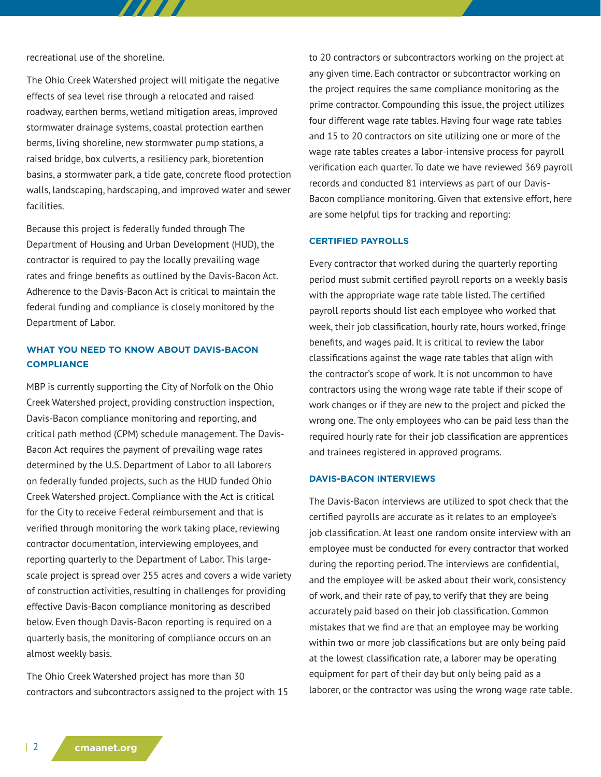recreational use of the shoreline.

The Ohio Creek Watershed project will mitigate the negative effects of sea level rise through a relocated and raised roadway, earthen berms, wetland mitigation areas, improved stormwater drainage systems, coastal protection earthen berms, living shoreline, new stormwater pump stations, a raised bridge, box culverts, a resiliency park, bioretention basins, a stormwater park, a tide gate, concrete flood protection walls, landscaping, hardscaping, and improved water and sewer facilities.

77 T T

Because this project is federally funded through The Department of Housing and Urban Development (HUD), the contractor is required to pay the locally prevailing wage rates and fringe benefits as outlined by the Davis-Bacon Act. Adherence to the Davis-Bacon Act is critical to maintain the federal funding and compliance is closely monitored by the Department of Labor.

## **WHAT YOU NEED TO KNOW ABOUT DAVIS-BACON COMPLIANCE**

MBP is currently supporting the City of Norfolk on the Ohio Creek Watershed project, providing construction inspection, Davis-Bacon compliance monitoring and reporting, and critical path method (CPM) schedule management. The Davis-Bacon Act requires the payment of prevailing wage rates determined by the U.S. Department of Labor to all laborers on federally funded projects, such as the HUD funded Ohio Creek Watershed project. Compliance with the Act is critical for the City to receive Federal reimbursement and that is verified through monitoring the work taking place, reviewing contractor documentation, interviewing employees, and reporting quarterly to the Department of Labor. This largescale project is spread over 255 acres and covers a wide variety of construction activities, resulting in challenges for providing effective Davis-Bacon compliance monitoring as described below. Even though Davis-Bacon reporting is required on a quarterly basis, the monitoring of compliance occurs on an almost weekly basis.

The Ohio Creek Watershed project has more than 30 contractors and subcontractors assigned to the project with 15 to 20 contractors or subcontractors working on the project at any given time. Each contractor or subcontractor working on the project requires the same compliance monitoring as the prime contractor. Compounding this issue, the project utilizes four different wage rate tables. Having four wage rate tables and 15 to 20 contractors on site utilizing one or more of the wage rate tables creates a labor-intensive process for payroll verification each quarter. To date we have reviewed 369 payroll records and conducted 81 interviews as part of our Davis-Bacon compliance monitoring. Given that extensive effort, here are some helpful tips for tracking and reporting:

#### **CERTIFIED PAYROLLS**

Every contractor that worked during the quarterly reporting period must submit certified payroll reports on a weekly basis with the appropriate wage rate table listed. The certified payroll reports should list each employee who worked that week, their job classification, hourly rate, hours worked, fringe benefits, and wages paid. It is critical to review the labor classifications against the wage rate tables that align with the contractor's scope of work. It is not uncommon to have contractors using the wrong wage rate table if their scope of work changes or if they are new to the project and picked the wrong one. The only employees who can be paid less than the required hourly rate for their job classification are apprentices and trainees registered in approved programs.

#### **DAVIS-BACON INTERVIEWS**

The Davis-Bacon interviews are utilized to spot check that the certified payrolls are accurate as it relates to an employee's job classification. At least one random onsite interview with an employee must be conducted for every contractor that worked during the reporting period. The interviews are confidential, and the employee will be asked about their work, consistency of work, and their rate of pay, to verify that they are being accurately paid based on their job classification. Common mistakes that we find are that an employee may be working within two or more job classifications but are only being paid at the lowest classification rate, a laborer may be operating equipment for part of their day but only being paid as a laborer, or the contractor was using the wrong wage rate table.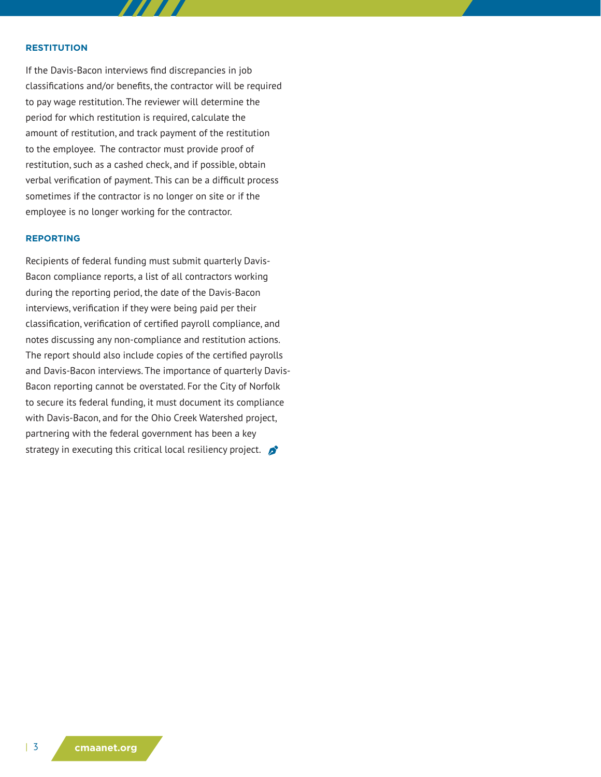#### **RESTITUTION**

If the Davis-Bacon interviews find discrepancies in job classifications and/or benefits, the contractor will be required to pay wage restitution. The reviewer will determine the period for which restitution is required, calculate the amount of restitution, and track payment of the restitution to the employee. The contractor must provide proof of restitution, such as a cashed check, and if possible, obtain verbal verification of payment. This can be a difficult process sometimes if the contractor is no longer on site or if the employee is no longer working for the contractor.

#### **REPORTING**

Recipients of federal funding must submit quarterly Davis-Bacon compliance reports, a list of all contractors working during the reporting period, the date of the Davis-Bacon interviews, verification if they were being paid per their classification, verification of certified payroll compliance, and notes discussing any non-compliance and restitution actions. The report should also include copies of the certified payrolls and Davis-Bacon interviews. The importance of quarterly Davis-Bacon reporting cannot be overstated. For the City of Norfolk to secure its federal funding, it must document its compliance with Davis-Bacon, and for the Ohio Creek Watershed project, partnering with the federal government has been a key strategy in executing this critical local resiliency project.  $\bullet$